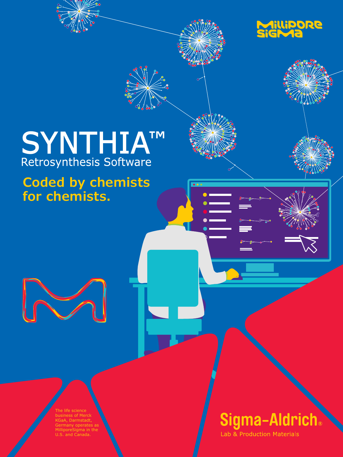

# SYNTHIATM<br>Retrosynthesis Software

**Coded by chemists for chemists.**

> The life science business of Mercl **A, Darmstadt,** Germany operates as MilliporeSigma in the U.S. and Canada.

## Sigma-Aldrich.

Lab & Production Materials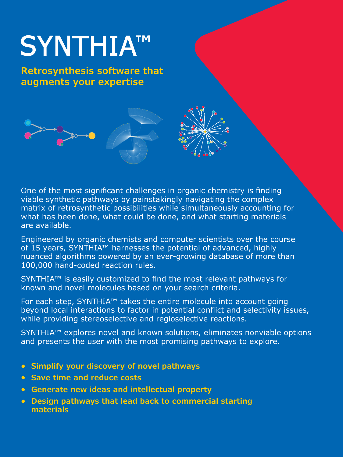## SYNTHIA™

**Retrosynthesis software that augments your expertise**





One of the most significant challenges in organic chemistry is finding viable synthetic pathways by painstakingly navigating the complex matrix of retrosynthetic possibilities while simultaneously accounting for what has been done, what could be done, and what starting materials are available.

Engineered by organic chemists and computer scientists over the course of 15 years, SYNTHIA™ harnesses the potential of advanced, highly nuanced algorithms powered by an ever-growing database of more than 100,000 hand-coded reaction rules.

SYNTHIA™ is easily customized to find the most relevant pathways for known and novel molecules based on your search criteria.

For each step, SYNTHIA™ takes the entire molecule into account going beyond local interactions to factor in potential conflict and selectivity issues, while providing stereoselective and regioselective reactions.

SYNTHIA™ explores novel and known solutions, eliminates nonviable options and presents the user with the most promising pathways to explore.

- **• Simplify your discovery of novel pathways**
- **• Save time and reduce costs**
- **• Generate new ideas and intellectual property**
- **• Design pathways that lead back to commercial starting materials**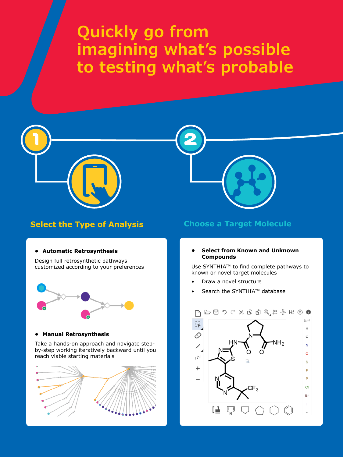## **Quickly go from imagining what's possible to testing what's probable**



#### **Select the Type of Analysis Choose a Target Molecule**

#### **• Automatic Retrosynthesis**

Design full retrosynthetic pathways customized according to your preferences



#### **• Manual Retrosynthesis**

Take a hands-on approach and navigate stepby-step working iteratively backward until you reach viable starting materials



#### **• Select from Known and Unknown Compounds**

Use SYNTHIA™ to find complete pathways to known or novel target molecules

- Draw a novel structure
- Search the SYNTHIA™ database

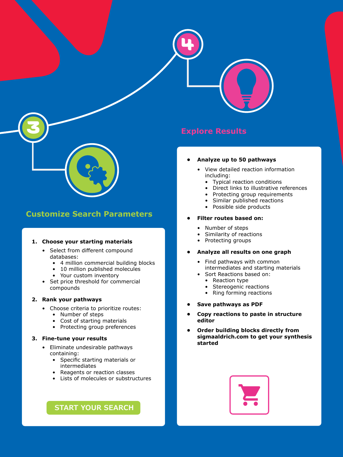

#### **Customize Search Parameters**

#### **1. Choose your starting materials**

- Select from different compound databases:
	- 4 million commercial building blocks
	- 10 million published molecules
	- Your custom inventory
- Set price threshold for commercial compounds

#### **2. Rank your pathways**

- Choose criteria to prioritize routes:
	- Number of steps
	- Cost of starting materials
	- Protecting group preferences

#### **3. Fine-tune your results**

- Eliminate undesirable pathways containing:
	- Specific starting materials or intermediates
	- Reagents or reaction classes
	- Lists of molecules or substructures

#### **START YOUR SEARCH**

#### **Explore Results**

4

#### **• Analyze up to 50 pathways**

- View detailed reaction information including:
	- Typical reaction conditions
	- Direct links to illustrative references
	- Protecting group requirements
	- Similar published reactions
	- Possible side products

#### **• Filter routes based on:**

- Number of steps
- Similarity of reactions
- Protecting groups

#### **• Analyze all results on one graph**

- Find pathways with common intermediates and starting materials • Sort Reactions based on:
	- Reaction type
	- Stereogenic reactions
	- Ring forming reactions
- **• Save pathways as PDF**
- **• Copy reactions to paste in structure editor**
- **• Order building blocks directly from sigmaaldrich.com to get your synthesis started**

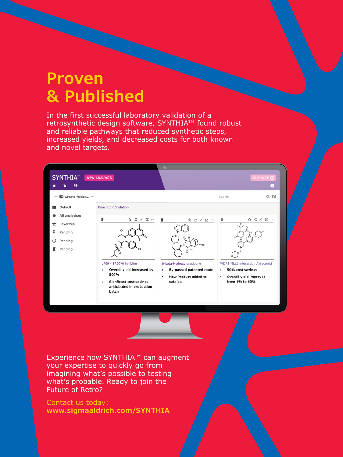### **Proven & Published**

In the first successful laboratory validation of a retrosynthetic design software, SYNTHIA™ found robust and reliable pathways that reduced synthetic steps, increased yields, and decreased costs for both known and novel targets.



Experience how SYNTHIA™ can augment your expertise to quickly go from imagining what's possible to testing what's probable. Ready to join the Future of Retro?

Contact us today: **www.sigmaaldrich.com/SYNTHIA**